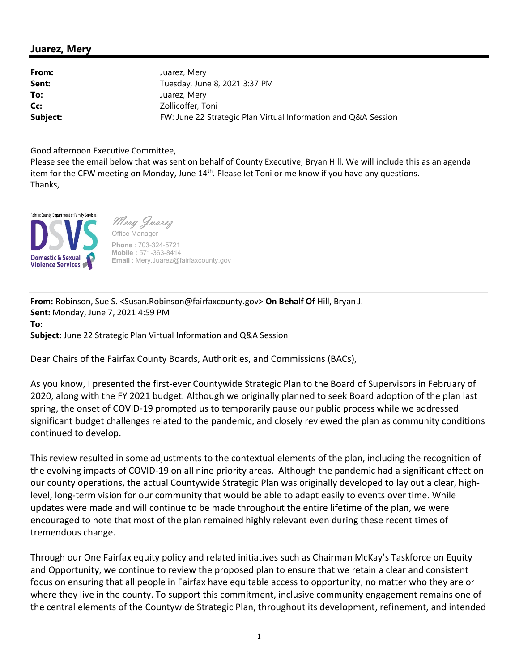## Juarez, Mery

From: Juarez, Mery **Sent:** Tuesday, June 8, 2021 3:37 PM To: Juarez, Mery Cc: Zollicoffer, Toni Subject: FW: June 22 Strategic Plan Virtual Information and Q&A Session

Good afternoon Executive Committee,

Please see the email below that was sent on behalf of County Executive, Bryan Hill. We will include this as an agenda item for the CFW meeting on Monday, June  $14<sup>th</sup>$ . Please let Toni or me know if you have any questions. Thanks,



Mery Juarez Office Manager Phone : 703-324-5721 Mobile : 571-363-8414 Email : Mery.Juarez@fairfaxcounty.gov

From: Robinson, Sue S. <Susan.Robinson@fairfaxcounty.gov> On Behalf Of Hill, Bryan J. Sent: Monday, June 7, 2021 4:59 PM To: Subject: June 22 Strategic Plan Virtual Information and Q&A Session

Dear Chairs of the Fairfax County Boards, Authorities, and Commissions (BACs),

As you know, I presented the first-ever Countywide Strategic Plan to the Board of Supervisors in February of 2020, along with the FY 2021 budget. Although we originally planned to seek Board adoption of the plan last spring, the onset of COVID-19 prompted us to temporarily pause our public process while we addressed significant budget challenges related to the pandemic, and closely reviewed the plan as community conditions continued to develop.

This review resulted in some adjustments to the contextual elements of the plan, including the recognition of the evolving impacts of COVID-19 on all nine priority areas. Although the pandemic had a significant effect on our county operations, the actual Countywide Strategic Plan was originally developed to lay out a clear, highlevel, long-term vision for our community that would be able to adapt easily to events over time. While updates were made and will continue to be made throughout the entire lifetime of the plan, we were encouraged to note that most of the plan remained highly relevant even during these recent times of tremendous change.

Through our One Fairfax equity policy and related initiatives such as Chairman McKay's Taskforce on Equity and Opportunity, we continue to review the proposed plan to ensure that we retain a clear and consistent focus on ensuring that all people in Fairfax have equitable access to opportunity, no matter who they are or where they live in the county. To support this commitment, inclusive community engagement remains one of the central elements of the Countywide Strategic Plan, throughout its development, refinement, and intended